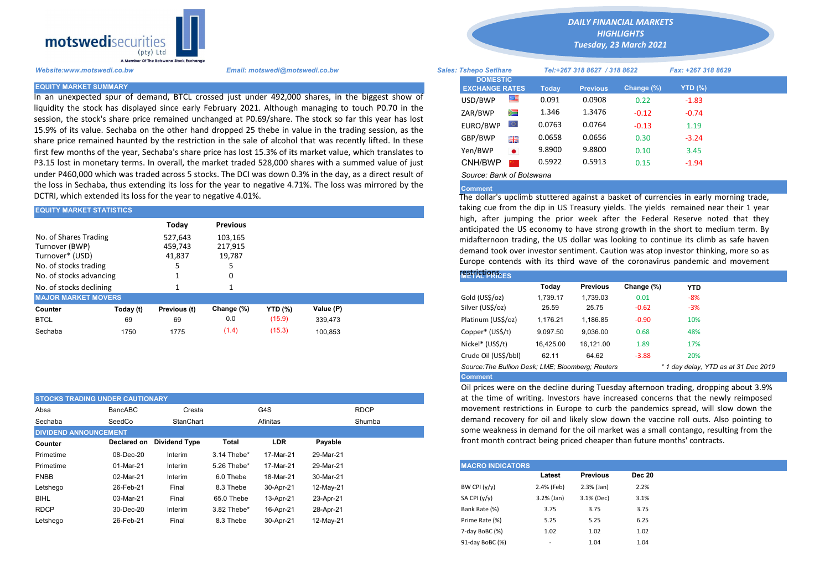

In an unexpected spur of demand, BTCL crossed just under 492,000 shares, in the biggest show of liquidity the stock has displayed since early February 2021. Although managing to touch P0.70 in the session, the stock's share price remained unchanged at P0.69/share. The stock so far this year has lost 15.9% of its value. Sechaba on the other hand dropped 25 thebe in value in the trading session, as the share price remained haunted by the restriction in the sale of alcohol that was recently lifted. In these first few months of the year, Sechaba's share price has lost 15.3% of its market value, which translates to P3.15 lost in monetary terms. In overall, the market traded 528,000 shares with a summed value of just under P460,000 which was traded across 5 stocks. The DCI was down 0.3% in the day, as a direct result of the loss in Sechaba, thus extending its loss for the year to negative 4.71%. The loss was mirrored by the DCTRI, which extended its loss for the year to negative 4.01%.

| <b>EQUITY MARKET STATISTICS</b>                                                                                |           |                              |                              |                | taking cue from the dip in US Treasury yields. The yields remained near<br>high, after jumping the prior week after the Federal Reserve note |                                                                                                                                                                                                                                                |          |                 |            |            |  |
|----------------------------------------------------------------------------------------------------------------|-----------|------------------------------|------------------------------|----------------|----------------------------------------------------------------------------------------------------------------------------------------------|------------------------------------------------------------------------------------------------------------------------------------------------------------------------------------------------------------------------------------------------|----------|-----------------|------------|------------|--|
|                                                                                                                |           | Todav                        | <b>Previous</b>              |                |                                                                                                                                              | anticipated the US economy to have strong growth in the short to med                                                                                                                                                                           |          |                 |            |            |  |
| No. of Shares Trading<br>Turnover (BWP)<br>Turnover* (USD)<br>No. of stocks trading<br>No. of stocks advancing |           | 527.643<br>459.743<br>41,837 | 103,165<br>217.915<br>19,787 |                |                                                                                                                                              | midafternoon trading, the US dollar was looking to continue its climb a<br>demand took over investor sentiment. Caution was atop investor thinking<br>Europe contends with its third wave of the coronavirus pandemic an<br><b>REFICURNEES</b> |          |                 |            |            |  |
| No. of stocks declining                                                                                        |           |                              |                              |                |                                                                                                                                              |                                                                                                                                                                                                                                                | Todav    | <b>Previous</b> | Change (%) | <b>YTD</b> |  |
| <b>MAJOR MARKET MOVERS</b>                                                                                     |           |                              |                              |                |                                                                                                                                              | Gold (US\$/oz)                                                                                                                                                                                                                                 | 1.739.17 | 1.739.03        | 0.01       | $-8%$      |  |
| Counter                                                                                                        | Today (t) | Previous (t)                 | Change (%)                   | <b>YTD (%)</b> | Value (P)                                                                                                                                    | Silver (US\$/oz)                                                                                                                                                                                                                               | 25.59    | 25.75           | $-0.62$    | $-3%$      |  |
| <b>BTCL</b>                                                                                                    | 69        | 69                           | 0.0                          | (15.9)         | 339,473                                                                                                                                      | Platinum (US\$/oz)                                                                                                                                                                                                                             | 1.176.21 | 1.186.85        | $-0.90$    | 10%        |  |
| Sechaba                                                                                                        | 1750      | 1775                         | (1.4)                        | (15.3)         | 100.853                                                                                                                                      | Copper* (US\$/t)                                                                                                                                                                                                                               | 9,097.50 | 9,036.00        | 0.68       | 48%        |  |

| <b>STOCKS TRADING UNDER CAUTIONARY</b> |             |               |             |                    |             |  |  |  |  |
|----------------------------------------|-------------|---------------|-------------|--------------------|-------------|--|--|--|--|
| Absa                                   | BancABC     | Cresta        |             | G4S                | <b>RDCP</b> |  |  |  |  |
| Sechaba                                | SeedCo      | StanChart     |             | Shumba<br>Afinitas |             |  |  |  |  |
| <b>DIVIDEND ANNOUNCEMENT</b>           |             |               |             |                    |             |  |  |  |  |
| Counter                                | Declared on | Dividend Type | Total       | LDR                | Payable     |  |  |  |  |
| Primetime                              | 08-Dec-20   | Interim       | 3.14 Thebe* | 17-Mar-21          | 29-Mar-21   |  |  |  |  |
| Primetime                              | 01-Mar-21   | Interim       | 5.26 Thebe* | 17-Mar-21          | 29-Mar-21   |  |  |  |  |
| <b>FNBB</b>                            | 02-Mar-21   | Interim       | 6.0 Thebe   | 18-Mar-21          | 30-Mar-21   |  |  |  |  |
| Letshego                               | 26-Feb-21   | Final         | 8.3 Thebe   | 30-Apr-21          | 12-May-21   |  |  |  |  |
| <b>BIHL</b>                            | 03-Mar-21   | Final         | 65.0 Thebe  | 13-Apr-21          | 23-Apr-21   |  |  |  |  |
| <b>RDCP</b>                            | 30-Dec-20   | Interim       | 3.82 Thebe* | 16-Apr-21          | 28-Apr-21   |  |  |  |  |
| Letshego                               | 26-Feb-21   | Final         | 8.3 Thebe   | 30-Apr-21          | 12-May-21   |  |  |  |  |

*DAILY FINANCIAL MARKETS*

*HIGHLIGHTS*

*Tuesday, 23 March 2021* 

| Website:www.motswedi.co.bw   | Email: motswedi@motswedi.co.bw                                                                                                                                                                                    | <b>Sales: Tshepo Setlhare</b>            |           | Tel:+267 318 8627 / 318 8622 |                 |            | Fax: +267 318 8629 |  |
|------------------------------|-------------------------------------------------------------------------------------------------------------------------------------------------------------------------------------------------------------------|------------------------------------------|-----------|------------------------------|-----------------|------------|--------------------|--|
| <b>EQUITY MARKET SUMMARY</b> |                                                                                                                                                                                                                   | <b>DOMESTIC</b><br><b>EXCHANGE RATES</b> |           | Today                        | <b>Previous</b> | Change (%) | YTD $(\%)$         |  |
|                              | n an unexpected spur of demand, BTCL crossed just under 492,000 shares, in the biggest show of                                                                                                                    | USD/BWP                                  |           | 0.091                        | 0.0908          | 0.22       | $-1.83$            |  |
|                              | iquidity the stock has displayed since early February 2021. Although managing to touch P0.70 in the                                                                                                               | ZAR/BWP                                  | Ň         | 1.346                        | 1.3476          | $-0.12$    | $-0.74$            |  |
|                              | session, the stock's share price remained unchanged at P0.69/share. The stock so far this year has lost<br>15.9% of its value. Sechaba on the other hand dropped 25 thebe in value in the trading session, as the | EURO/BWP                                 |           | 0.0763                       | 0.0764          | $-0.13$    | 1.19               |  |
|                              | share price remained haunted by the restriction in the sale of alcohol that was recently lifted. In these                                                                                                         | GBP/BWP                                  | 哥爵        | 0.0658                       | 0.0656          | 0.30       | $-3.24$            |  |
|                              | irst few months of the year, Sechaba's share price has lost 15.3% of its market value, which translates to                                                                                                        | Yen/BWP                                  | $\bullet$ | 9.8900                       | 9.8800          | 0.10       | 3.45               |  |
|                              | 93.15 lost in monetary terms. In overall, the market traded 528,000 shares with a summed value of just                                                                                                            | CNH/BWP                                  |           | 0.5922                       | 0.5913          | 0.15       | $-1.94$            |  |
|                              | under P460,000 which was traded across 5 stocks. The DCI was down 0.3% in the day, as a direct result of                                                                                                          | Source: Bank of Botswana                 |           |                              |                 |            |                    |  |

## **Comment**

The dollar's upclimb stuttered against a basket of currencies in early morning trade, taking cue from the dip in US Treasury yields. The yields remained near their 1 year high, after jumping the prior week after the Federal Reserve noted that they anticipated the US economy to have strong growth in the short to medium term. By midafternoon trading, the US dollar was looking to continue its climb as safe haven demand took over investor sentiment. Caution was atop investor thinking, more so as Europe contends with its third wave of the coronavirus pandemic and movement

| <b><i>RESTRICTIONS</i></b>                                                                |           |                 |            |            |  |  |  |  |  |  |
|-------------------------------------------------------------------------------------------|-----------|-----------------|------------|------------|--|--|--|--|--|--|
|                                                                                           | Today     | <b>Previous</b> | Change (%) | <b>YTD</b> |  |  |  |  |  |  |
| Gold (US\$/oz)                                                                            | 1.739.17  | 1.739.03        | 0.01       | $-8%$      |  |  |  |  |  |  |
| Silver (US\$/oz)                                                                          | 25.59     | 25.75           | $-0.62$    | $-3%$      |  |  |  |  |  |  |
| Platinum (US\$/oz)                                                                        | 1.176.21  | 1.186.85        | $-0.90$    | 10%        |  |  |  |  |  |  |
| Copper* (US\$/t)                                                                          | 9,097.50  | 9,036.00        | 0.68       | 48%        |  |  |  |  |  |  |
| Nickel* (US\$/t)                                                                          | 16.425.00 | 16.121.00       | 1.89       | 17%        |  |  |  |  |  |  |
| Crude Oil (US\$/bbl)                                                                      | 62.11     | 64.62           | $-3.88$    | 20%        |  |  |  |  |  |  |
| Source: The Bullion Desk; LME; Bloomberg; Reuters<br>* 1 day delay, YTD as at 31 Dec 2019 |           |                 |            |            |  |  |  |  |  |  |
| <b>Comment</b>                                                                            |           |                 |            |            |  |  |  |  |  |  |

Oil prices were on the decline during Tuesday afternoon trading, dropping about 3.9% at the time of writing. Investors have increased concerns that the newly reimposed movement restrictions in Europe to curb the pandemics spread, will slow down the demand recovery for oil and likely slow down the vaccine roll outs. Also pointing to some weakness in demand for the oil market was a small contango, resulting from the front month contract being priced cheaper than future months' contracts.

| <b>MACRO INDICATORS</b> |              |                 |               |  |  |  |  |  |  |
|-------------------------|--------------|-----------------|---------------|--|--|--|--|--|--|
|                         | Latest       | <b>Previous</b> | <b>Dec 20</b> |  |  |  |  |  |  |
| BW CPI $(y/y)$          | 2.4% (Feb)   | $2.3%$ (Jan)    | 2.2%          |  |  |  |  |  |  |
| SA CPI (y/y)            | $3.2%$ (Jan) | 3.1% (Dec)      | 3.1%          |  |  |  |  |  |  |
| Bank Rate (%)           | 3.75         | 3.75            | 3.75          |  |  |  |  |  |  |
| Prime Rate (%)          | 5.25         | 5.25            | 6.25          |  |  |  |  |  |  |
| 7-day BoBC (%)          | 1.02         | 1.02            | 1.02          |  |  |  |  |  |  |
| 91-day BoBC (%)         | ۰            | 1.04            | 1.04          |  |  |  |  |  |  |